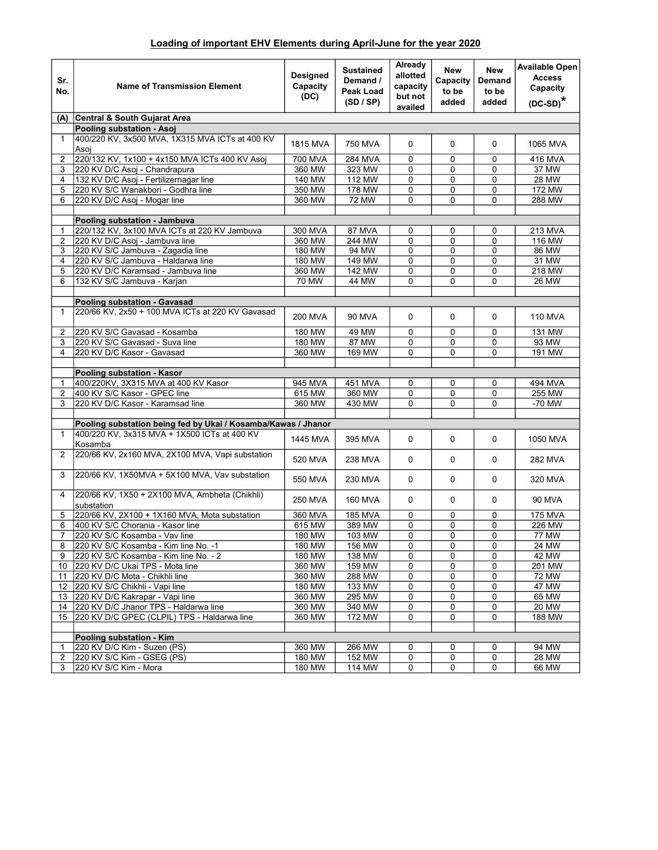## Loading of important EHV Elements during April-June for the year 2020

| Sr.<br>No.     | <b>Name of Transmission Element</b>                                | <b>Designed</b><br>Capacity<br>(DC) | <b>Sustained</b><br>Demand /<br>Peak Load<br>(SD / SP) | Already<br>allotted<br>capacity<br>but not<br>availed | New<br>Capacity<br>to be<br>added | New<br>Demand<br>to be<br>added | Available Open<br><b>Access</b><br>Capacity<br>$(DC-SD)*$ |
|----------------|--------------------------------------------------------------------|-------------------------------------|--------------------------------------------------------|-------------------------------------------------------|-----------------------------------|---------------------------------|-----------------------------------------------------------|
| (A)            | Central & South Gujarat Area                                       |                                     |                                                        |                                                       |                                   |                                 |                                                           |
|                | Pooling substation - Asoj                                          |                                     |                                                        |                                                       |                                   |                                 |                                                           |
| $\mathbf{1}$   | 400/220 KV, 3x500 MVA, 1X315 MVA ICTs at 400 KV<br>Asoi            | 1815 MVA                            | 750 MVA                                                | $\Omega$                                              | 0                                 | $\mathbf 0$                     | 1065 MVA                                                  |
| $\overline{2}$ | 220/132 KV, 1x100 + 4x150 MVA ICTs 400 KV Asoj                     | 700 MVA                             | 284 MVA                                                | 0                                                     | 0                                 | 0                               | 416 MVA                                                   |
| 3              | 220 KV D/C Asoj - Chandrapura                                      | 360 MW                              | 323 MW                                                 | $\Omega$                                              | 0                                 | $\mathbf 0$                     | 37 MW                                                     |
| 4              | 132 KV D/C Asoj - Fertilizernagar line                             | 140 MW                              | 112 MW                                                 | 0                                                     | 0                                 | 0                               | <b>28 MW</b>                                              |
| 5              | 220 KV S/C Wanakbori - Godhra line                                 | 350 MW                              | 178 MW                                                 | $\mathbf 0$                                           | 0                                 | $\mathbf 0$                     | 172 MW                                                    |
| 6              | 220 KV D/C Asoj - Mogar line                                       | 360 MW                              | <b>72 MW</b>                                           | $\mathbf 0$                                           | 0                                 | $\mathbf 0$                     | <b>288 MW</b>                                             |
|                | Pooling substation - Jambuva                                       |                                     |                                                        |                                                       |                                   |                                 |                                                           |
| 1              | 220/132 KV, 3x100 MVA ICTs at 220 KV Jambuva                       | 300 MVA                             | 87 MVA                                                 | 0                                                     | 0                                 | 0                               | 213 MVA                                                   |
| 2              | 220 KV D/C Asoj - Jambuva line                                     | 360 MW                              | 244 MW                                                 | $\Omega$                                              | $\Omega$                          | 0                               | 116 MW                                                    |
| 3              | 220 KV S/C Jambuva - Zagadia line                                  | 180 MW                              | 94 MW                                                  | 0                                                     | 0                                 | $\mathbf 0$                     | 86 MW                                                     |
| 4              | 220 KV S/C Jambuva - Haldarwa line                                 | 180 MW                              | 149 MW                                                 | $\mathbf 0$                                           | 0                                 | $\mathbf 0$                     | 31 MW                                                     |
| 5              | 220 KV D/C Karamsad - Jambuva line                                 | 360 MW                              | 142 MW                                                 | 0                                                     | 0                                 | 0                               | 218 MW                                                    |
| 6              | 132 KV S/C Jambuva - Karjan                                        | <b>70 MW</b>                        | <b>44 MW</b>                                           | 0                                                     | $\Omega$                          | 0                               | <b>26 MW</b>                                              |
|                |                                                                    |                                     |                                                        |                                                       |                                   |                                 |                                                           |
|                | Pooling substation - Gavasad                                       |                                     |                                                        |                                                       |                                   |                                 |                                                           |
| 1              | 220/66 KV, 2x50 + 100 MVA ICTs at 220 KV Gavasad                   | <b>200 MVA</b>                      | <b>90 MVA</b>                                          | 0                                                     | 0                                 | 0                               | <b>110 MVA</b>                                            |
| 2              | 220 KV S/C Gavasad - Kosamba                                       | 180 MW                              | 49 MW                                                  | $\mathbf 0$                                           | 0                                 | 0                               | 131 MW                                                    |
| 3              | 220 KV S/C Gavasad - Suva line                                     | 180 MW                              | 87 MW                                                  | 0                                                     | 0                                 | 0                               | 93 MW                                                     |
| 4              | 220 KV D/C Kasor - Gavasad                                         | 360 MW                              | 169 MW                                                 | 0                                                     | 0                                 | 0                               | <b>191 MW</b>                                             |
|                |                                                                    |                                     |                                                        |                                                       |                                   |                                 |                                                           |
|                | Pooling substation - Kasor<br>400/220KV, 3X315 MVA at 400 KV Kasor |                                     | 451 MVA                                                |                                                       |                                   |                                 | 494 MVA                                                   |
| 1<br>2         | 400 KV S/C Kasor - GPEC line                                       | 945 MVA<br>615 MW                   | 360 MW                                                 | 0<br>$\mathbf 0$                                      | 0<br>0                            | 0<br>$\mathbf 0$                | 255 MW                                                    |
| 3              | 220 KV D/C Kasor - Karamsad line                                   | 360 MW                              | 430 MW                                                 | 0                                                     | 0                                 | 0                               | -70 MW                                                    |
|                |                                                                    |                                     |                                                        |                                                       |                                   |                                 |                                                           |
|                | Pooling substation being fed by Ukai / Kosamba/Kawas / Jhanor      |                                     |                                                        |                                                       |                                   |                                 |                                                           |
| $\mathbf{1}$   | 400/220 KV, 3x315 MVA + 1X500 ICTs at 400 KV<br>Kosamba            | <b>1445 MVA</b>                     | 395 MVA                                                | $\mathbf 0$                                           | 0                                 | 0                               | 1050 MVA                                                  |
| 2              | 220/66 KV, 2x160 MVA, 2X100 MVA, Vapi substation                   | 520 MVA                             | 238 MVA                                                | $\mathbf 0$                                           | $\Omega$                          | $\mathbf 0$                     | 282 MVA                                                   |
| 3              | 220/66 KV, 1X50MVA + 5X100 MVA, Vav substation                     | 550 MVA                             | 230 MVA                                                | $\mathbf 0$                                           | 0                                 | 0                               | 320 MVA                                                   |
| 4              | 220/66 KV, 1X50 + 2X100 MVA, Ambheta (Chikhli)<br>substation       | 250 MVA                             | 160 MVA                                                | 0                                                     | 0                                 | 0                               | 90 MVA                                                    |
| 5              | 220/66 KV, 2X100 + 1X160 MVA, Mota substation                      | 360 MVA                             | <b>185 MVA</b>                                         | 0                                                     | 0                                 | 0                               | <b>175 MVA</b>                                            |
| 6              | 400 KV S/C Chorania - Kasor line                                   | 615 MW                              | 389 MW                                                 | $\mathbf 0$                                           | 0                                 | 0                               | 226 MW                                                    |
| $\overline{7}$ | 220 KV S/C Kosamba - Vav line                                      | 180 MW                              | 103 MW                                                 | 0                                                     | 0                                 | 0                               | <b>77 MW</b>                                              |
| 8              | 220 KV S/C Kosamba - Kim line No. -1                               | 180 MW                              | 156 MW                                                 | 0                                                     | 0                                 | 0                               | 24 MW                                                     |
| 9              | 220 KV S/C Kosamba - Kim line No. - 2                              | 180 MW                              | 138 MW                                                 | 0                                                     | 0                                 | 0                               | 42 MW                                                     |
| 10             | 220 KV D/C Ukai TPS - Mota line                                    | 360 MW                              | 159 MW                                                 | 0                                                     | 0                                 | 0                               | 201 MW                                                    |
| 11             | 220 KV D/C Mota - Chikhli line                                     | 360 MW                              | 288 MW                                                 | 0                                                     | 0                                 | 0                               | <b>72 MW</b>                                              |
| 12<br>13       | 220 KV S/C Chikhli - Vapi line<br>220 KV D/C Kakrapar - Vapi line  | 180 MW<br>360 MW                    | 133 MW<br>295 MW                                       | 0<br>0                                                | 0<br>0                            | 0<br>0                          | <b>47 MW</b><br>65 MW                                     |
| 14             | 220 KV D/C Jhanor TPS - Haldarwa line                              | 360 MW                              | 340 MW                                                 | 0                                                     | 0                                 | 0                               | <b>20 MW</b>                                              |
| 15             | 220 KV D/C GPEC (CLPIL) TPS - Haldarwa line                        | 360 MW                              | 172 MW                                                 | 0                                                     | 0                                 | 0                               | 188 MW                                                    |
|                |                                                                    |                                     |                                                        |                                                       |                                   |                                 |                                                           |
|                | Pooling substation - Kim                                           |                                     |                                                        |                                                       |                                   |                                 |                                                           |
| 1              | 220 KV D/C Kim - Suzen (PS)                                        | 360 MW                              | 266 MW                                                 | 0                                                     | 0                                 | 0                               | 94 MW                                                     |
| $\overline{2}$ | 220 KV S/C Kim - GSEG (PS)                                         | 180 MW                              | 152 MW                                                 | 0                                                     | 0                                 | 0                               | <b>28 MW</b>                                              |
| 3              | 220 KV S/C Kim - Mora                                              | 180 MW                              | 114 MW                                                 | 0                                                     | 0                                 | 0                               | 66 MW                                                     |